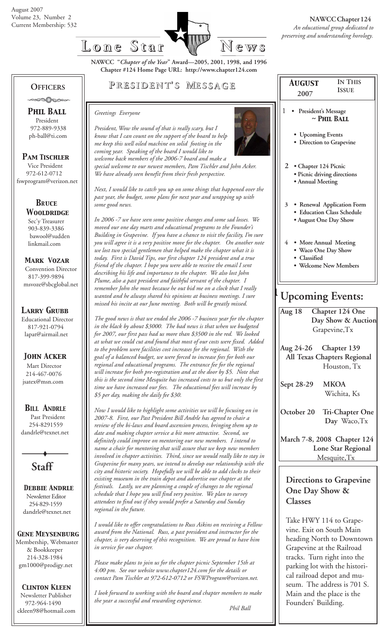

*~ Phil Ball*

**IN THIS ISSUE**

**NAWCC "***Chapter of the Year***" Award—2005, 2001, 1998, and 1996 Chapter #124 Home Page URL: http://www.chapter124.com**

## **OFFICERS**

 *Phil Ball* President 972-889-9338 ph-ball@ti.com

### *Pam Tischler*

 Vice President 972-612-0712 fswprogram@verizon.net

### *BRuce Wooldridge* Sec'y Treasurer

 903-839-3386 bawool@sudden linkmail.com

### *Mark Vozar*

 Convention Director 817-399-9894 msvoze@sbcglobal.net

### *Larry Grubb*

Educational Director 817-921-0794 lapat@airmail.net

## *John Acker*

Mart Director 214-467-0076 jsatex@msn.com

## *BILL ANDRLE*

 Past President 254-8291559 dandrle@texnet.net

**Staff**

 *Debbie Andrle* Newsletter Editor 254-829-1559 dandrle@texnet.net

### *Gene Meysenburg*

Membership, Webmaster & Bookkeeper 214-328-1984 gm1000@prodigy.net

## *Clinton Kleen*

 Newsletter Publisher 972-964-1490 ckleen98@hotmail.com

# **P RESIDENT RESIDENT' S M ESSAGE**

#### *Greetings Everyone*

*some good news.*



*President, Wow the sound of that is really scary, but I know that I can count on the support of the board to help me keep this well oiled machine on solid footing in the coming year. Speaking of the board I would like to welcome back members of the 2006-7 board and make a special welcome to our newest members, Pam Tischler and John Acker. We have already seen benefit from their fresh perspective.*

*Next, I would like to catch you up on some things that happened over the past year, the budget, some plans for next year and wrapping up with*

*In 2006 -7 we have seen some positive changes and some sad losses. We moved our one day marts and educational programs to the Founder's Building in Grapevine. If you have a chance to visit the facility, I'm sure you will agree it is a very positive move for the chapter. On another note we lost two special gentlemen that helped make the chapter what it is today. First is David Tips, our first chapter 124 president and a true friend of the chapter. I hope you were able to receive the email I sent describing his life and importance to the chapter. We also lost John Plume, also a past president and faithful servant of the chapter. I remember John the most because he out bid me on a clock that I really wanted and he always shared his opinions at business meetings. I sure missed his incite at our June meeting. Both will be greatly missed.*

*The good news is that we ended the 2006 -7 business year for the chapter in the black by about \$3000. The bad news is that when we budgeted for 2007, our first pass had us more than \$3500 in the red. We looked at what we could cut and found that most of our costs were fixed. Added to the problem were facilities cost increases for the regional. With the goal of a balanced budget, we were forced to increase fees for both our regional and educational programs. The entrance fee for the regional will increase for both pre-registration and at the door by \$5. Note that this is the second time Mesquite has increased costs to us but only the first time we have increased our fees. The educational fees will increase by*

*Now I would like to highlight some activities we will be focusing on in 2007-8. First, our Past President Bill Andrle has agreed to chair a review of the bi-laws and board ascension process, bringing them up to date and making chapter service a bit more attractive. Second, we definitely could improve on mentoring our new members. I intend to name a chair for mentoring that will assure that we keep new members involved in chapter activities. Third, since we would really like to stay in Grapevine for many years, we intend to develop our relationship with the city and historic society. Hopefully we will be able to add clocks to their existing museum in the train depot and advertise our chapter at the festivals. Lastly, we are planning a couple of changes to the regional schedule that I hope you will find very positive. We plan to survey attendees to find out if they would prefer a Saturday and Sunday*

*I would like to offer congratulations to Russ Aikins on receiving a Fellow award from the National. Russ, a past president and instructor for the chapter, is very deserving of this recognition. We are proud to have him*

*Please make plans to join us for the chapter picnic September 15th at 4:00 pm. See our website www.chapter124.com for the details or contact Pam Tischler at 972-612-0712 or FSWProgram@verizon.net.*

*I look forward to working with the board and chapter members to make*

*the year a successful and rewarding experience.*

*\$5 per day, making the daily fee \$30.*

*regional in the future.*

*in service for our chapter.*

**2007** 1 **• President's Message • Upcoming Events • Direction to Grapevine**

 *August*

- **2 Chapter 124 Picnic**
	- **Picnic driving directions**
	- **Annual Meeting**
- **3 Renewal Application Form • Education Class Schedule**
	- **August One Day Show**
- **4 More Annual Meeting**
	- **Waco One Day Show**
	- **Classified**
	- **Welcome New Members**

# **Upcoming Events:**

| Aug 18                      | <b>Chapter 124 One</b>     |  |
|-----------------------------|----------------------------|--|
|                             | Day Show & Auction         |  |
| Grapevine, Tx               |                            |  |
|                             |                            |  |
|                             | Aug 24-26 Chapter 139      |  |
| All Texas Chapters Regional |                            |  |
|                             | Houston, Tx                |  |
|                             |                            |  |
| Sept 28-29                  | <b>MKOA</b>                |  |
|                             | Wichita, Ks                |  |
|                             | October 20 Tri-Chapter One |  |
|                             | Day Waco, Tx               |  |
|                             |                            |  |
| March 7-8, 2008 Chapter 124 |                            |  |
| Lone Star Regional          |                            |  |
| Mesquite, Tx                |                            |  |
|                             |                            |  |
| Directions to Grapevine     |                            |  |
|                             |                            |  |

# **One Day Show & Classes**

Take HWY 114 to Grapevine. Exit on South Main heading North to Downtown Grapevine at the Railroad tracks. Turn right into the parking lot with the historical railroad depot and museum. The address is 701 S. Main and the place is the Founders' Building.

 *Phil Ball*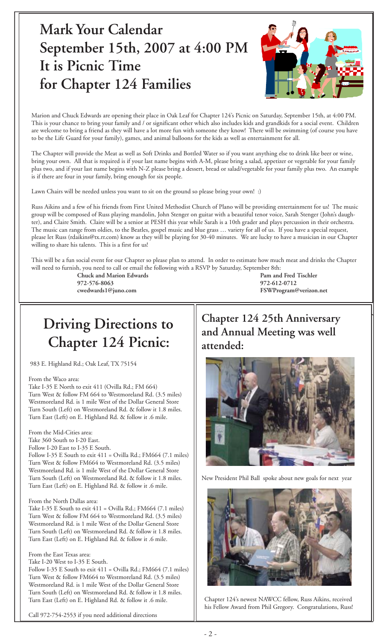# **Mark Your Calendar September 15th, 2007 at 4:00 PM It is Picnic Time for Chapter 124 Families**



Marion and Chuck Edwards are opening their place in Oak Leaf for Chapter 124's Picnic on Saturday, September 15th, at 4:00 PM. This is your chance to bring your family and / or significant other which also includes kids and grandkids for a social event. Children are welcome to bring a friend as they will have a lot more fun with someone they know! There will be swimming (of course you have to be the Life Guard for your family), games, and animal balloons for the kids as well as entertainment for all.

The Chapter will provide the Meat as well as Soft Drinks and Bottled Water so if you want anything else to drink like beer or wine, bring your own. All that is required is if your last name begins with A-M, please bring a salad, appetizer or vegetable for your family plus two, and if your last name begins with N-Z please bring a dessert, bread or salad/vegetable for your family plus two. An example is if there are four in your family, bring enough for six people.

Lawn Chairs will be needed unless you want to sit on the ground so please bring your own! :)

Russ Aikins and a few of his friends from First United Methodist Church of Plano will be providing entertainment for us! The music group will be composed of Russ playing mandolin, John Stenger on guitar with a beautiful tenor voice, Sarah Stenger (John's daughter), and Claire Smith. Claire will be a senior at PESH this year while Sarah is a 10th grader and plays percussion in their orchestra. The music can range from oldies, to the Beatles, gospel music and blue grass … variety for all of us. If you have a special request, please let Russ (rdaikins@tx.rr.com) know as they will be playing for 30-40 minutes. We are lucky to have a musician in our Chapter willing to share his talents. This is a first for us!

This will be a fun social event for our Chapter so please plan to attend. In order to estimate how much meat and drinks the Chapter will need to furnish, you need to call or email the following with a RSVP by Saturday, September 8th:

**972-576-8063 972-612-0712**

**Chuck and Marion Edwards Pam and Fred Tischler cwedwards1@juno.com FSWProgram@verizon.net**

# **Driving Directions to Chapter 124 Picnic:**

983 E. Highland Rd.; Oak Leaf, TX 75154

#### From the Waco area:

Take I-35 E North to exit 411 (Ovilla Rd.; FM 664) Turn West & follow FM 664 to Westmoreland Rd. (3.5 miles) Westmoreland Rd. is 1 mile West of the Dollar General Store Turn South (Left) on Westmoreland Rd. & follow it 1.8 miles. Turn East (Left) on E. Highland Rd. & follow it .6 mile.

#### From the Mid-Cities area:

Take 360 South to I-20 East.

Follow I-20 East to I-35 E South.

Follow I-35 E South to exit  $411 =$  Ovilla Rd.; FM664 (7.1 miles) Turn West & follow FM664 to Westmoreland Rd. (3.5 miles) Westmoreland Rd. is 1 mile West of the Dollar General Store Turn South (Left) on Westmoreland Rd. & follow it 1.8 miles. Turn East (Left) on E. Highland Rd. & follow it .6 mile.

#### From the North Dallas area:

Take I-35 E South to exit  $411 =$  Ovilla Rd.; FM664 (7.1 miles) Turn West & follow FM 664 to Westmoreland Rd. (3.5 miles) Westmoreland Rd. is 1 mile West of the Dollar General Store Turn South (Left) on Westmoreland Rd. & follow it 1.8 miles. Turn East (Left) on E. Highland Rd. & follow it .6 mile.

#### From the East Texas area:

Take I-20 West to I-35 E South.

Follow I-35 E South to exit 411 = Ovilla Rd.; FM664 (7.1 miles) Turn West & follow FM664 to Westmoreland Rd. (3.5 miles) Westmoreland Rd. is 1 mile West of the Dollar General Store Turn South (Left) on Westmoreland Rd. & follow it 1.8 miles. Turn East (Left) on E. Highland Rd. & follow it .6 mile.

Call 972-754-2553 if you need additional directions

# **Chapter 124 25th Anniversary and Annual Meeting was well attended:**



New President Phil Ball spoke about new goals for next year



Chapter 124's newest NAWCC fellow, Russ Aikins, received his Fellow Award from Phil Gregory. Congratulations, Russ!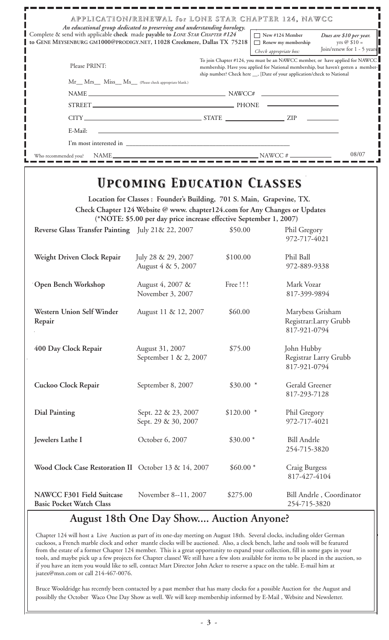| APPLICATION/RENEWAL for LONE STAR CHAPTER 124, NAWCC<br>An educational group dedicated to preserving and understanding horology.                        |                                                                                                                                                                                                                                               |
|---------------------------------------------------------------------------------------------------------------------------------------------------------|-----------------------------------------------------------------------------------------------------------------------------------------------------------------------------------------------------------------------------------------------|
| Complete & send with applicable check made payable to LONE STAR CHAPTER #124<br>to GENE MEYSENBURG GM1000@PRODIGY.NET, 11028 Creekmere, Dallas TX 75218 | $\Box$ New #124 Member<br>Dues are \$10 per year.<br>yrs @ $$10 =$<br>Renew my membership<br>Join/renew for 1 - 5 years<br>Check appropriate box:                                                                                             |
| Please PRINT:                                                                                                                                           | To join Chapter #124, you must be an NAWCC member, or have applied for NAWCC<br>membership. Have you applied for National membership, but haven't gotten a member-<br>ship number? Check here __, [Date of your application/check to National |
| Mr__ Mrs__ Miss__ Ms__ (Please check appropriate blank.)                                                                                                |                                                                                                                                                                                                                                               |
|                                                                                                                                                         |                                                                                                                                                                                                                                               |
| STREET.                                                                                                                                                 |                                                                                                                                                                                                                                               |
|                                                                                                                                                         |                                                                                                                                                                                                                                               |
| E-Mail:<br><u> 1980 - John Stein, Amerikaansk politiker (* 1901)</u>                                                                                    |                                                                                                                                                                                                                                               |
|                                                                                                                                                         |                                                                                                                                                                                                                                               |
| $NAME$ $NAWCC \#$ $\longrightarrow$<br>Who recommended you?                                                                                             | 08/07                                                                                                                                                                                                                                         |

# *Upcoming Education Classes Upcoming Education Classes*

**Location for Classes : Founder's Building, 701 S. Main, Grapevine, TX. Check Chapter 124 Website @ www. chapter124.com for Any Changes or Updates (\*NOTE: \$5.00 per day price increase effective September 1, 2007) Reverse Glass Transfer Painting** July 21& 22, 2007 \$50.00 Phil Gregory 972-717-4021 Weight Driven Clock Repair *July 28 & 29, 2007* \$100.00 Phil Ball August 4 & 5, 2007 972-889-9338 **Open Bench Workshop** August 4, 2007 & Free !!! Mark Vozar November 3, 2007 817-399-9894 Western Union Self Winder August 11 & 12, 2007 \$60.00 Marybess Grisham **Repair** Registrar:Larry Grubb 817-921-0794 **400 Day Clock Repair** August 31, 2007 \$75.00 John Hubby September 1 & 2, 2007 Registrar Larry Grubb 817-921-0794 Cuckoo Clock Repair September 8, 2007 \$30.00 \* Gerald Greener 817-293-7128 **Dial Painting** Sept. 22 & 23, 2007 \$120.00 \* Phil Gregory Sept. 29 & 30, 2007 972-717-4021 **Jewelers Lathe I** Corober 6, 2007 \$30.00 \* Bill Andrle 254-715-3820 Wood Clock Case Restoration II October 13 & 14, 2007 \$60.00 \* Craig Burgess 817-427-4104 **NAWCC F301 Field Suitcase** November 8--11, 2007 \$275.00 Bill Andrle , Coordinator **Basic Pocket Watch Class** 

# **August 18th One Day Show.... Auction Anyone?**

Chapter 124 will host a Live Auction as part of its one-day meeting on August 18th. Several clocks, including older German cuckoos, a French marble clock and other mantle clocks will be auctioned. Also, a clock bench, lathe and tools will be featured from the estate of a former Chapter 124 member. This is a great opportunity to expand your collection, fill in some gaps in your tools, and maybe pick up a few projects for Chapter classes! We still have a few slots available for items to be placed in the auction, so if you have an item you would like to sell, contact Mart Director John Acker to reserve a space on the table. E-mail him at jsatex@msn.com or call 214-467-0076.

Bruce Wooldridge has recently been contacted by a past member that has many clocks for a possible Auction for the August and possiblly the October Waco One Day Show as well. We will keep membership informed by E-Mail , Website and Newsletter.